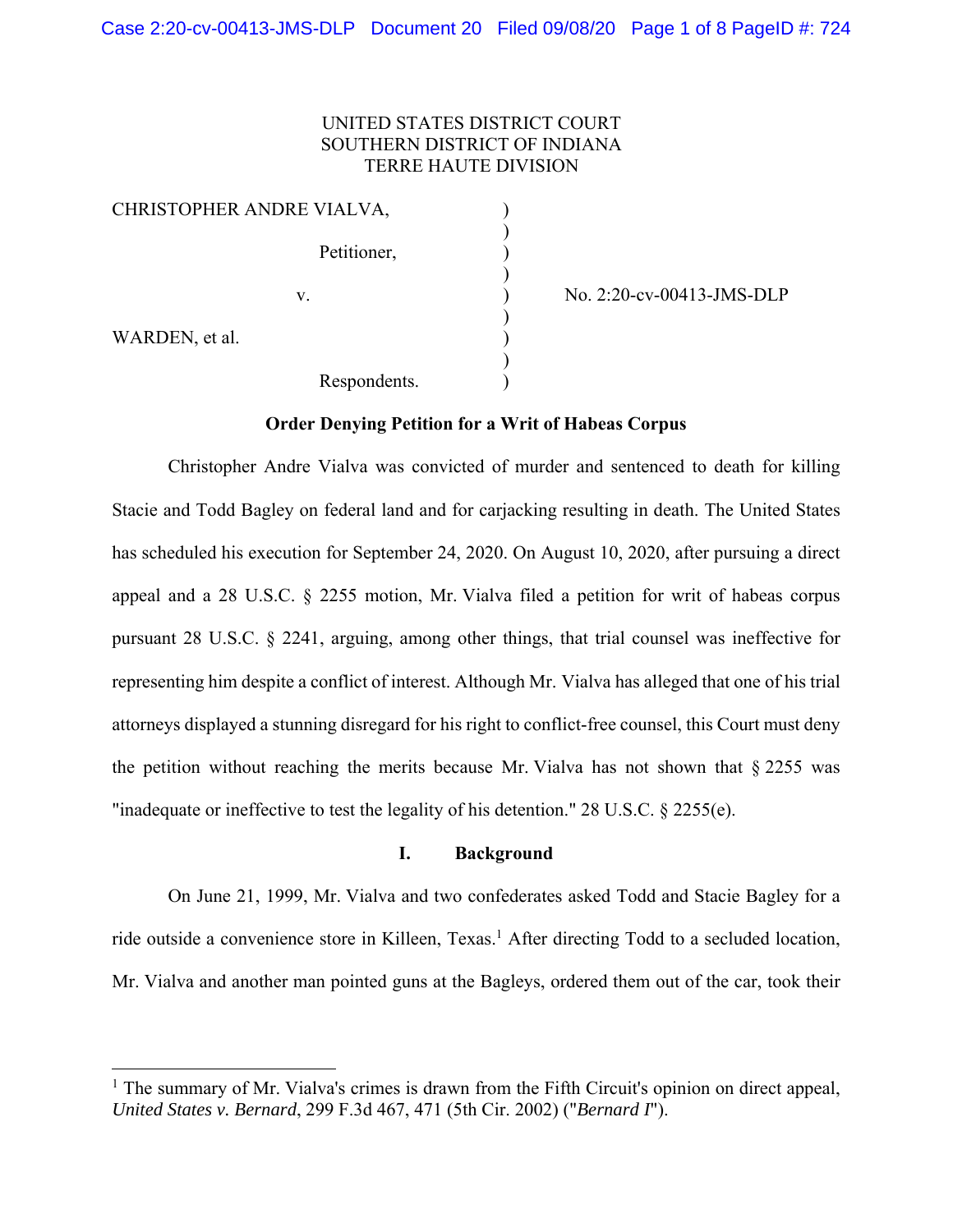# UNITED STATES DISTRICT COURT SOUTHERN DISTRICT OF INDIANA TERRE HAUTE DIVISION

| CHRISTOPHER ANDRE VIALVA, |              |  |
|---------------------------|--------------|--|
|                           | Petitioner,  |  |
|                           | V.           |  |
| WARDEN, et al.            |              |  |
|                           | Respondents. |  |

)<br>) No. 2:20-cv-00413-JMS-DLP<br>)

## **Order Denying Petition for a Writ of Habeas Corpus**

Christopher Andre Vialva was convicted of murder and sentenced to death for killing Stacie and Todd Bagley on federal land and for carjacking resulting in death. The United States has scheduled his execution for September 24, 2020. On August 10, 2020, after pursuing a direct appeal and a 28 U.S.C. § 2255 motion, Mr. Vialva filed a petition for writ of habeas corpus pursuant 28 U.S.C. § 2241, arguing, among other things, that trial counsel was ineffective for representing him despite a conflict of interest. Although Mr. Vialva has alleged that one of his trial attorneys displayed a stunning disregard for his right to conflict-free counsel, this Court must deny the petition without reaching the merits because Mr. Vialva has not shown that  $\S 2255$  was "inadequate or ineffective to test the legality of his detention." 28 U.S.C. § 2255(e).

## **I. Background**

On June 21, 1999, Mr. Vialva and two confederates asked Todd and Stacie Bagley for a ride outside a convenience store in Killeen, Texas.<sup>1</sup> After directing Todd to a secluded location, Mr. Vialva and another man pointed guns at the Bagleys, ordered them out of the car, took their

<sup>&</sup>lt;sup>1</sup> The summary of Mr. Vialva's crimes is drawn from the Fifth Circuit's opinion on direct appeal, *United States v. Bernard*, 299 F.3d 467, 471 (5th Cir. 2002) ("*Bernard I*").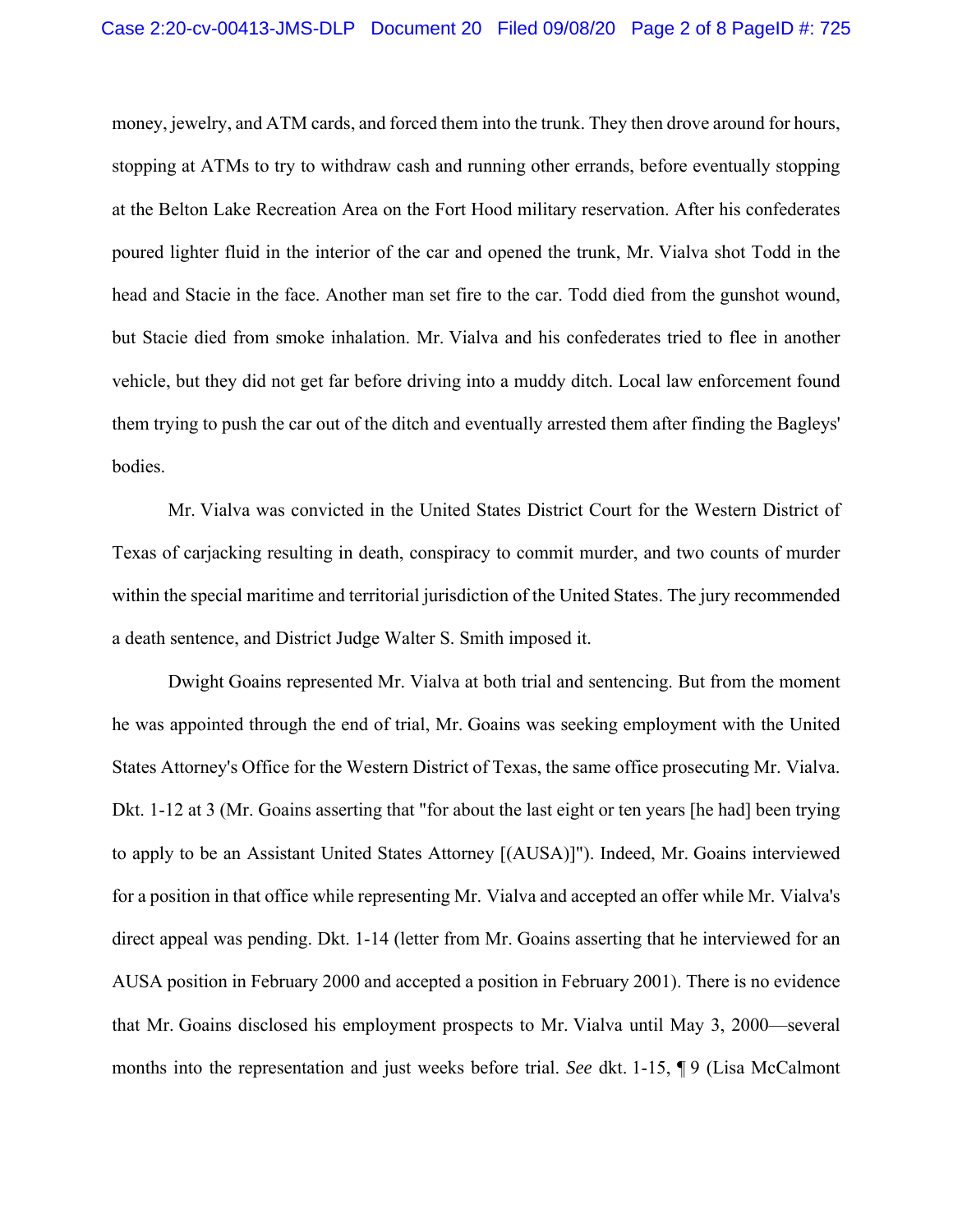money, jewelry, and ATM cards, and forced them into the trunk. They then drove around for hours, stopping at ATMs to try to withdraw cash and running other errands, before eventually stopping at the Belton Lake Recreation Area on the Fort Hood military reservation. After his confederates poured lighter fluid in the interior of the car and opened the trunk, Mr. Vialva shot Todd in the head and Stacie in the face. Another man set fire to the car. Todd died from the gunshot wound, but Stacie died from smoke inhalation. Mr. Vialva and his confederates tried to flee in another vehicle, but they did not get far before driving into a muddy ditch. Local law enforcement found them trying to push the car out of the ditch and eventually arrested them after finding the Bagleys' bodies.

Mr. Vialva was convicted in the United States District Court for the Western District of Texas of carjacking resulting in death, conspiracy to commit murder, and two counts of murder within the special maritime and territorial jurisdiction of the United States. The jury recommended a death sentence, and District Judge Walter S. Smith imposed it.

Dwight Goains represented Mr. Vialva at both trial and sentencing. But from the moment he was appointed through the end of trial, Mr. Goains was seeking employment with the United States Attorney's Office for the Western District of Texas, the same office prosecuting Mr. Vialva. Dkt. 1-12 at 3 (Mr. Goains asserting that "for about the last eight or ten years [he had] been trying to apply to be an Assistant United States Attorney [(AUSA)]"). Indeed, Mr. Goains interviewed for a position in that office while representing Mr. Vialva and accepted an offer while Mr. Vialva's direct appeal was pending. Dkt. 1-14 (letter from Mr. Goains asserting that he interviewed for an AUSA position in February 2000 and accepted a position in February 2001). There is no evidence that Mr. Goains disclosed his employment prospects to Mr. Vialva until May 3, 2000—several months into the representation and just weeks before trial. *See* dkt. 1-15, ¶ 9 (Lisa McCalmont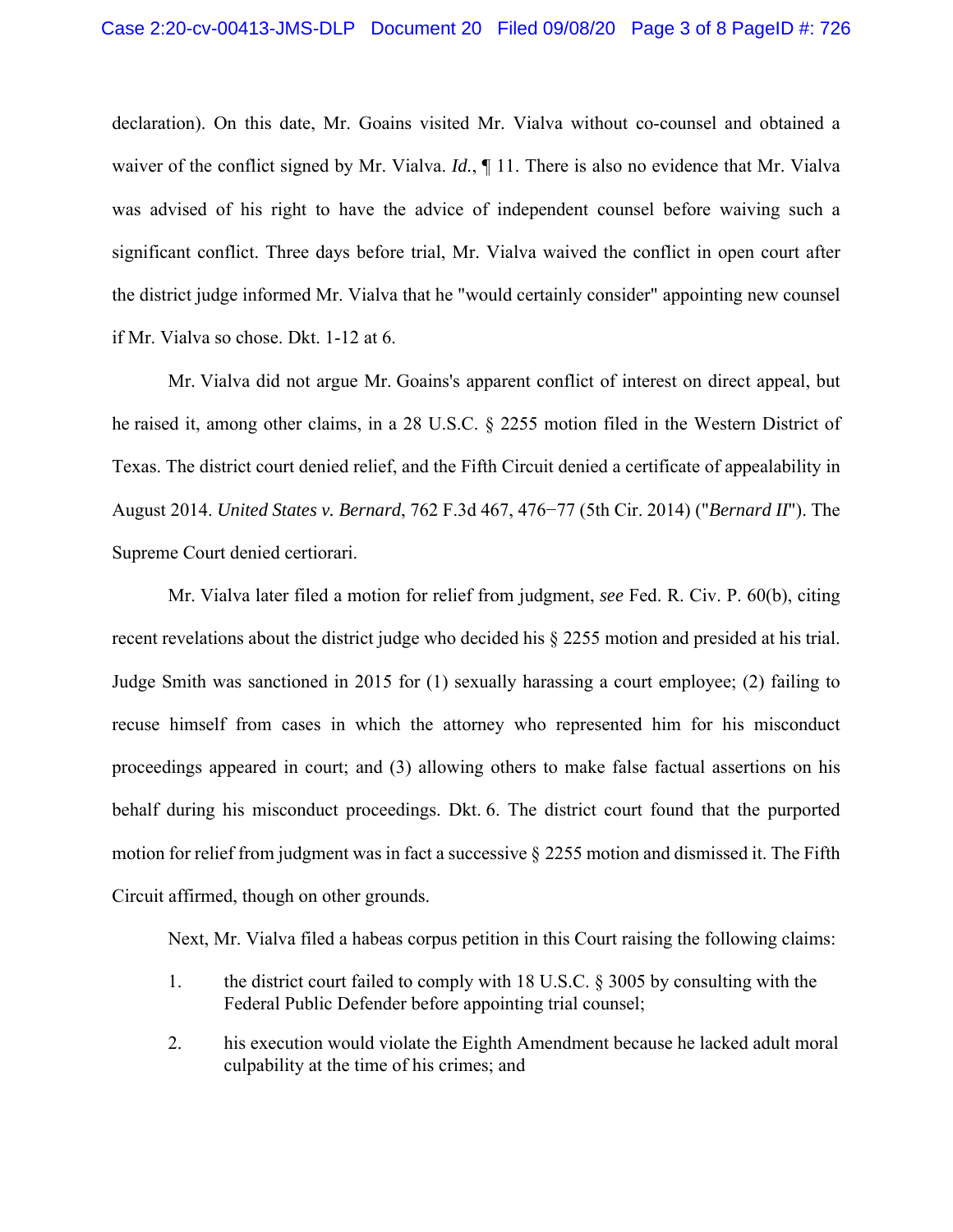declaration). On this date, Mr. Goains visited Mr. Vialva without co-counsel and obtained a waiver of the conflict signed by Mr. Vialva. *Id.*,  $\P$  11. There is also no evidence that Mr. Vialva was advised of his right to have the advice of independent counsel before waiving such a significant conflict. Three days before trial, Mr. Vialva waived the conflict in open court after the district judge informed Mr. Vialva that he "would certainly consider" appointing new counsel if Mr. Vialva so chose. Dkt. 1-12 at 6.

Mr. Vialva did not argue Mr. Goains's apparent conflict of interest on direct appeal, but he raised it, among other claims, in a 28 U.S.C. § 2255 motion filed in the Western District of Texas. The district court denied relief, and the Fifth Circuit denied a certificate of appealability in August 2014. *United States v. Bernard*, 762 F.3d 467, 476−77 (5th Cir. 2014) ("*Bernard II*"). The Supreme Court denied certiorari.

Mr. Vialva later filed a motion for relief from judgment, *see* Fed. R. Civ. P. 60(b), citing recent revelations about the district judge who decided his § 2255 motion and presided at his trial. Judge Smith was sanctioned in 2015 for (1) sexually harassing a court employee; (2) failing to recuse himself from cases in which the attorney who represented him for his misconduct proceedings appeared in court; and (3) allowing others to make false factual assertions on his behalf during his misconduct proceedings. Dkt. 6. The district court found that the purported motion for relief from judgment was in fact a successive § 2255 motion and dismissed it. The Fifth Circuit affirmed, though on other grounds.

Next, Mr. Vialva filed a habeas corpus petition in this Court raising the following claims:

- 1. the district court failed to comply with 18 U.S.C. § 3005 by consulting with the Federal Public Defender before appointing trial counsel;
- 2. his execution would violate the Eighth Amendment because he lacked adult moral culpability at the time of his crimes; and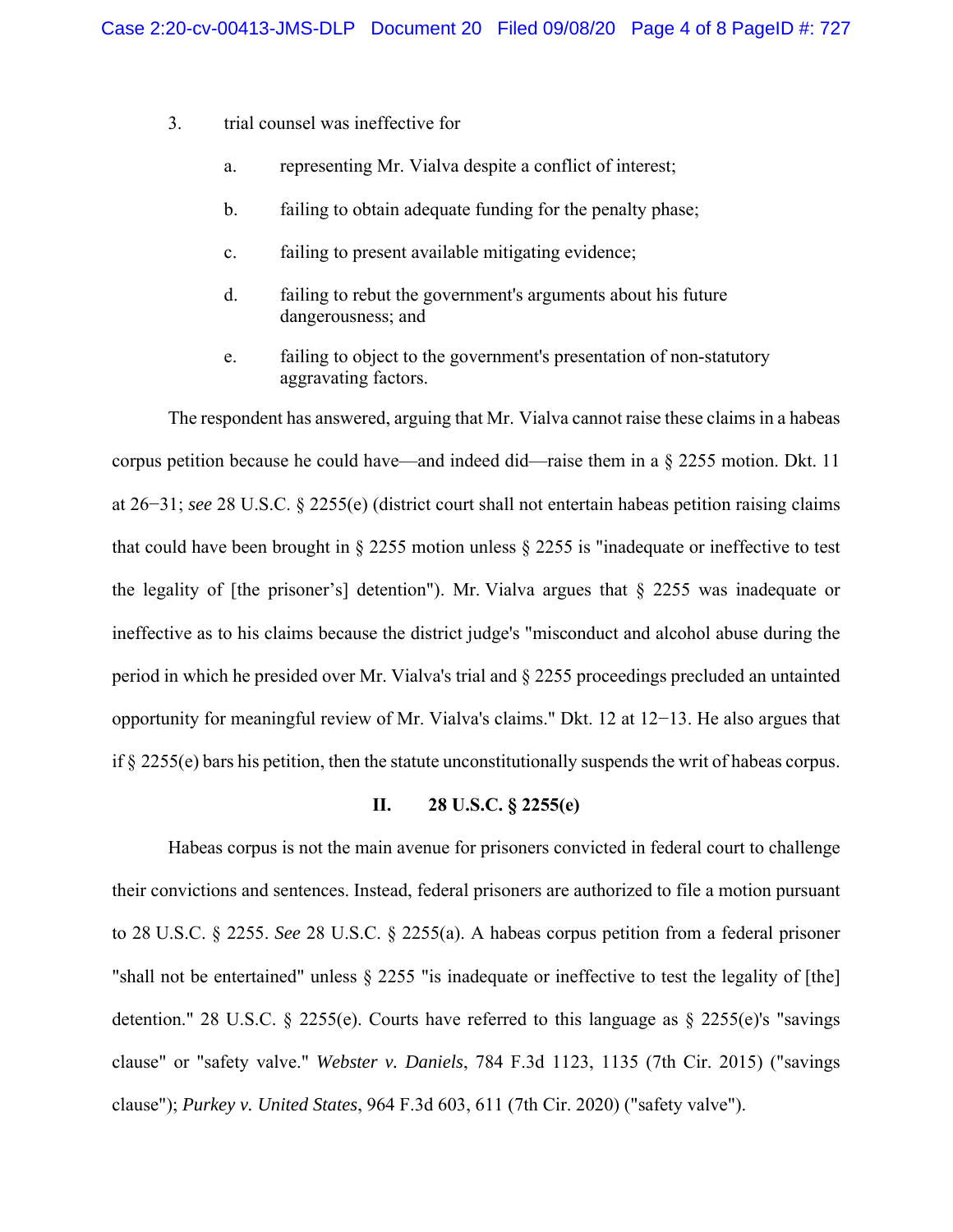- 3. trial counsel was ineffective for
	- a. representing Mr. Vialva despite a conflict of interest;
	- b. failing to obtain adequate funding for the penalty phase;
	- c. failing to present available mitigating evidence;
	- d. failing to rebut the government's arguments about his future dangerousness; and
	- e. failing to object to the government's presentation of non-statutory aggravating factors.

The respondent has answered, arguing that Mr. Vialva cannot raise these claims in a habeas corpus petition because he could have—and indeed did—raise them in a § 2255 motion. Dkt. 11 at 26−31; *see* 28 U.S.C. § 2255(e) (district court shall not entertain habeas petition raising claims that could have been brought in § 2255 motion unless § 2255 is "inadequate or ineffective to test the legality of [the prisoner's] detention"). Mr. Vialva argues that § 2255 was inadequate or ineffective as to his claims because the district judge's "misconduct and alcohol abuse during the period in which he presided over Mr. Vialva's trial and § 2255 proceedings precluded an untainted opportunity for meaningful review of Mr. Vialva's claims." Dkt. 12 at 12−13. He also argues that if § 2255(e) bars his petition, then the statute unconstitutionally suspends the writ of habeas corpus.

## **II. 28 U.S.C. § 2255(e)**

Habeas corpus is not the main avenue for prisoners convicted in federal court to challenge their convictions and sentences. Instead, federal prisoners are authorized to file a motion pursuant to 28 U.S.C. § 2255. *See* 28 U.S.C. § 2255(a). A habeas corpus petition from a federal prisoner "shall not be entertained" unless  $\S 2255$  "is inadequate or ineffective to test the legality of [the] detention." 28 U.S.C.  $\S$  2255(e). Courts have referred to this language as  $\S$  2255(e)'s "savings clause" or "safety valve." *Webster v. Daniels*, 784 F.3d 1123, 1135 (7th Cir. 2015) ("savings clause"); *Purkey v. United States*, 964 F.3d 603, 611 (7th Cir. 2020) ("safety valve").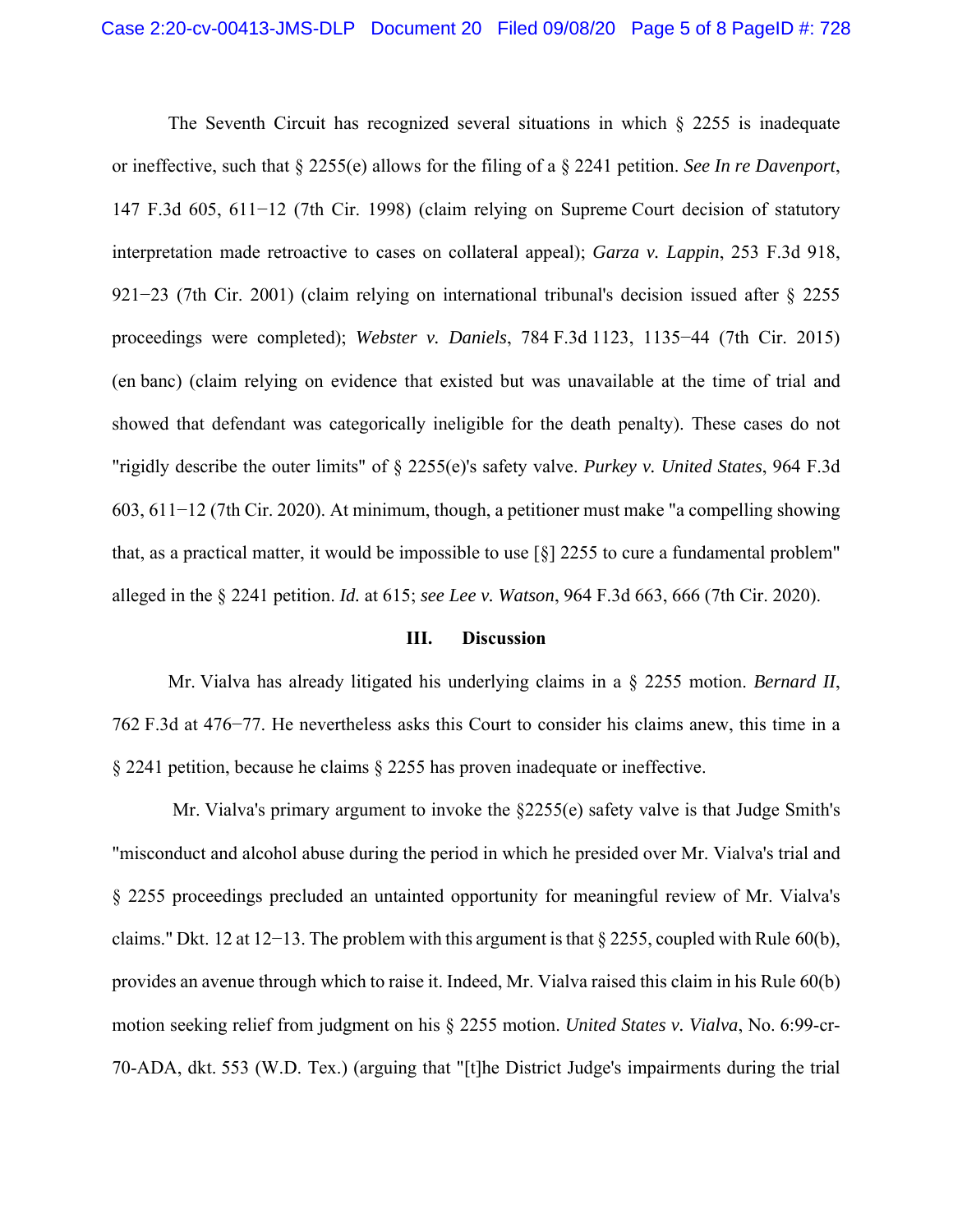The Seventh Circuit has recognized several situations in which  $\S$  2255 is inadequate or ineffective, such that § 2255(e) allows for the filing of a § 2241 petition. *See In re Davenport*, 147 F.3d 605, 611−12 (7th Cir. 1998) (claim relying on Supreme Court decision of statutory interpretation made retroactive to cases on collateral appeal); *Garza v. Lappin*, 253 F.3d 918, 921−23 (7th Cir. 2001) (claim relying on international tribunal's decision issued after § 2255 proceedings were completed); *Webster v. Daniels*, 784 F.3d 1123, 1135−44 (7th Cir. 2015) (en banc) (claim relying on evidence that existed but was unavailable at the time of trial and showed that defendant was categorically ineligible for the death penalty). These cases do not "rigidly describe the outer limits" of § 2255(e)'s safety valve. *Purkey v. United States*, 964 F.3d 603, 611−12 (7th Cir. 2020). At minimum, though, a petitioner must make "a compelling showing that, as a practical matter, it would be impossible to use  $\lceil \xi \rceil$  2255 to cure a fundamental problem" alleged in the § 2241 petition. *Id.* at 615; *see Lee v. Watson*, 964 F.3d 663, 666 (7th Cir. 2020).

### **III. Discussion**

Mr. Vialva has already litigated his underlying claims in a § 2255 motion. *Bernard II*, 762 F.3d at 476−77. He nevertheless asks this Court to consider his claims anew, this time in a § 2241 petition, because he claims § 2255 has proven inadequate or ineffective.

Mr. Vialva's primary argument to invoke the  $\S2255(e)$  safety valve is that Judge Smith's "misconduct and alcohol abuse during the period in which he presided over Mr. Vialva's trial and § 2255 proceedings precluded an untainted opportunity for meaningful review of Mr. Vialva's claims." Dkt. 12 at 12−13. The problem with this argument is that  $\S 2255$ , coupled with Rule 60(b), provides an avenue through which to raise it. Indeed, Mr. Vialva raised this claim in his Rule 60(b) motion seeking relief from judgment on his § 2255 motion. *United States v. Vialva*, No. 6:99-cr-70-ADA, dkt. 553 (W.D. Tex.) (arguing that "[t]he District Judge's impairments during the trial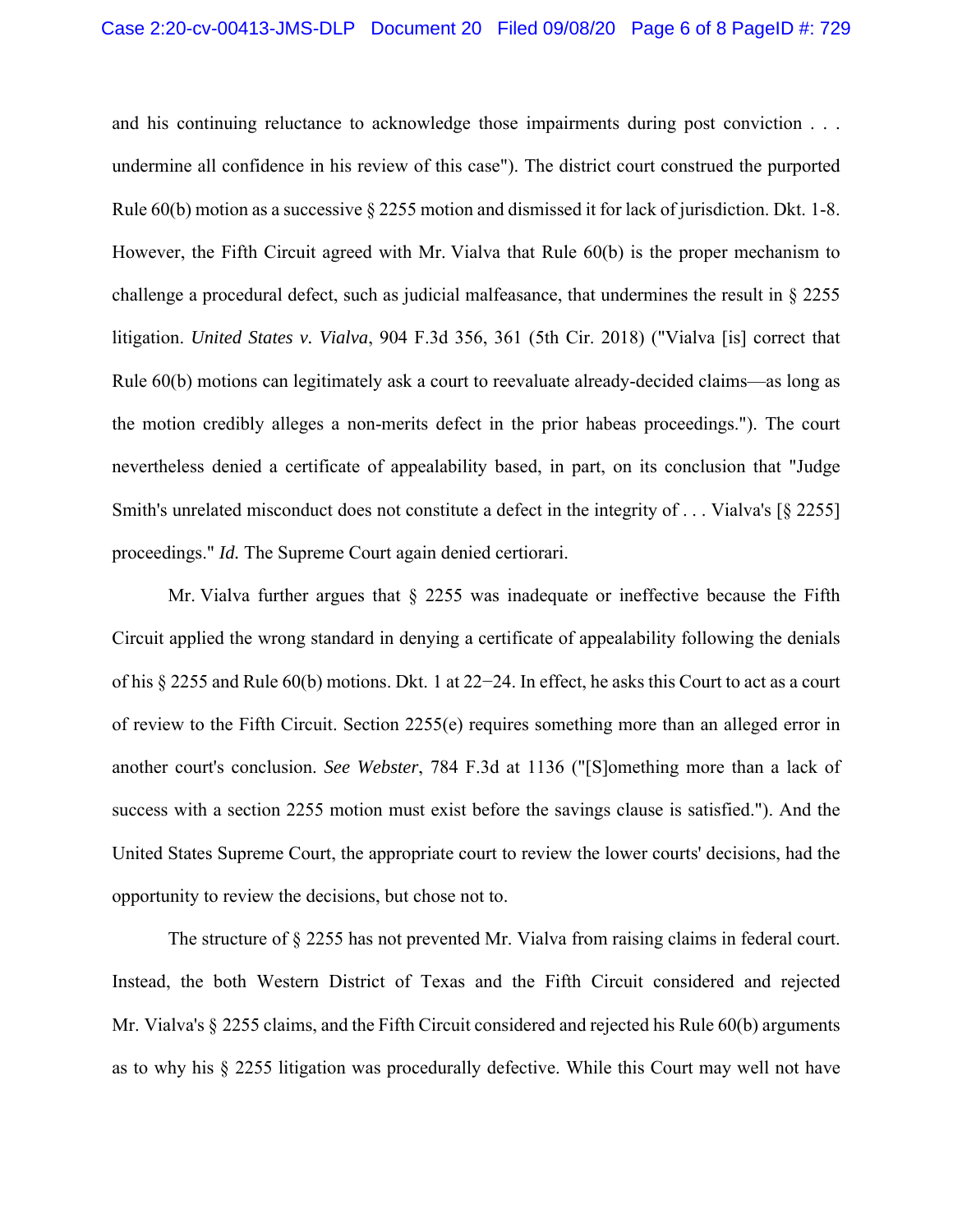and his continuing reluctance to acknowledge those impairments during post conviction . . . undermine all confidence in his review of this case"). The district court construed the purported Rule 60(b) motion as a successive § 2255 motion and dismissed it for lack of jurisdiction. Dkt. 1-8. However, the Fifth Circuit agreed with Mr. Vialva that Rule 60(b) is the proper mechanism to challenge a procedural defect, such as judicial malfeasance, that undermines the result in § 2255 litigation. *United States v. Vialva*, 904 F.3d 356, 361 (5th Cir. 2018) ("Vialva [is] correct that Rule 60(b) motions can legitimately ask a court to reevaluate already-decided claims—as long as the motion credibly alleges a non-merits defect in the prior habeas proceedings."). The court nevertheless denied a certificate of appealability based, in part, on its conclusion that "Judge Smith's unrelated misconduct does not constitute a defect in the integrity of . . . Vialva's [§ 2255] proceedings." *Id.* The Supreme Court again denied certiorari.

Mr. Vialva further argues that  $\S$  2255 was inadequate or ineffective because the Fifth Circuit applied the wrong standard in denying a certificate of appealability following the denials of his § 2255 and Rule 60(b) motions. Dkt. 1 at 22−24. In effect, he asks this Court to act as a court of review to the Fifth Circuit. Section 2255(e) requires something more than an alleged error in another court's conclusion. *See Webster*, 784 F.3d at 1136 ("[S]omething more than a lack of success with a section 2255 motion must exist before the savings clause is satisfied."). And the United States Supreme Court, the appropriate court to review the lower courts' decisions, had the opportunity to review the decisions, but chose not to.

The structure of § 2255 has not prevented Mr. Vialva from raising claims in federal court. Instead, the both Western District of Texas and the Fifth Circuit considered and rejected Mr. Vialva's § 2255 claims, and the Fifth Circuit considered and rejected his Rule 60(b) arguments as to why his § 2255 litigation was procedurally defective. While this Court may well not have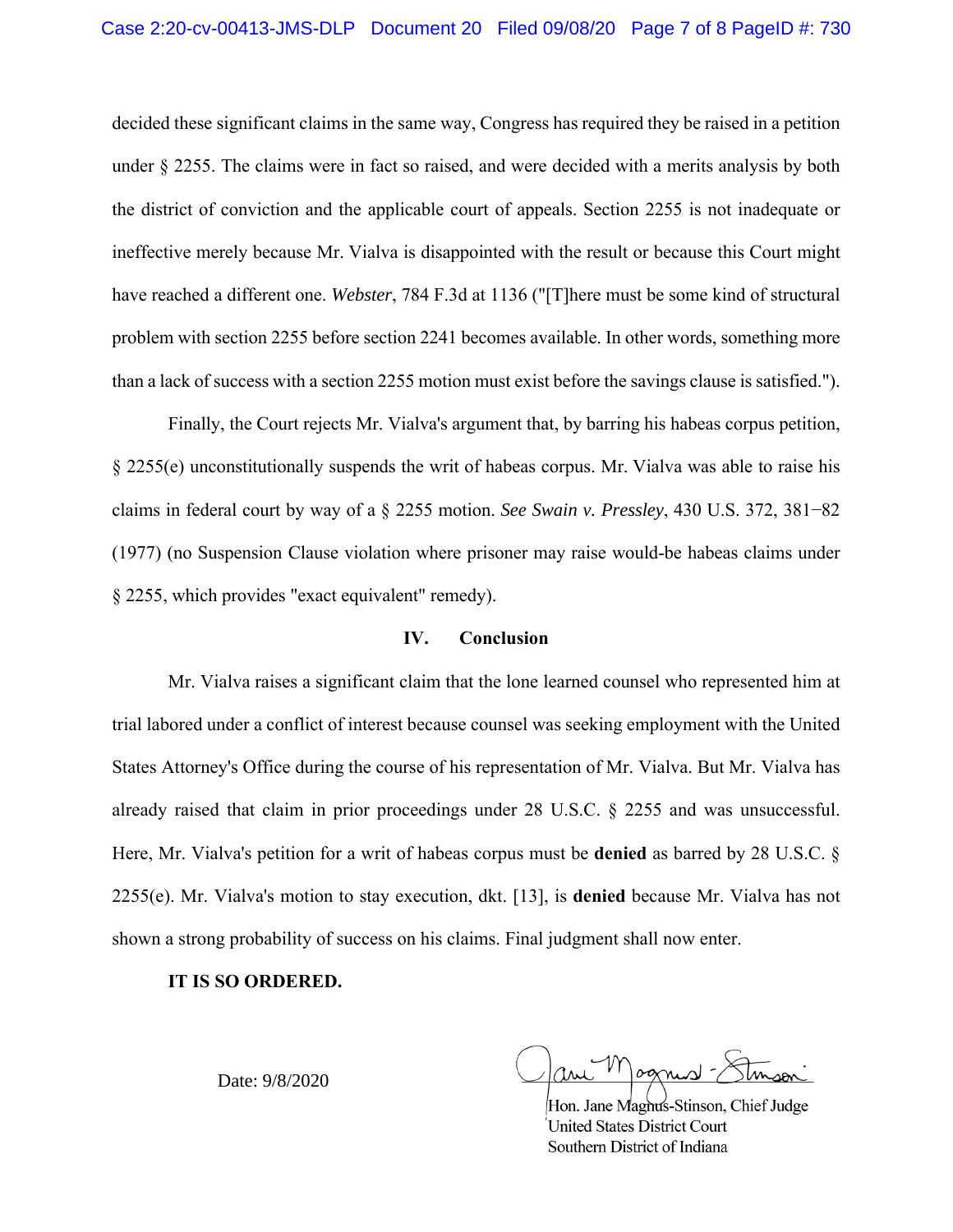decided these significant claims in the same way, Congress has required they be raised in a petition under § 2255. The claims were in fact so raised, and were decided with a merits analysis by both the district of conviction and the applicable court of appeals. Section 2255 is not inadequate or ineffective merely because Mr. Vialva is disappointed with the result or because this Court might have reached a different one. *Webster*, 784 F.3d at 1136 ("[T]here must be some kind of structural problem with section 2255 before section 2241 becomes available. In other words, something more than a lack of success with a section 2255 motion must exist before the savings clause is satisfied.").

Finally, the Court rejects Mr. Vialva's argument that, by barring his habeas corpus petition, § 2255(e) unconstitutionally suspends the writ of habeas corpus. Mr. Vialva was able to raise his claims in federal court by way of a § 2255 motion. *See Swain v. Pressley*, 430 U.S. 372, 381−82 (1977) (no Suspension Clause violation where prisoner may raise would-be habeas claims under § 2255, which provides "exact equivalent" remedy).

## **IV. Conclusion**

Mr. Vialva raises a significant claim that the lone learned counsel who represented him at trial labored under a conflict of interest because counsel was seeking employment with the United States Attorney's Office during the course of his representation of Mr. Vialva. But Mr. Vialva has already raised that claim in prior proceedings under 28 U.S.C. § 2255 and was unsuccessful. Here, Mr. Vialva's petition for a writ of habeas corpus must be **denied** as barred by 28 U.S.C. § 2255(e). Mr. Vialva's motion to stay execution, dkt. [13], is **denied** because Mr. Vialva has not shown a strong probability of success on his claims. Final judgment shall now enter.

#### **IT IS SO ORDERED.**

Date: 9/8/2020

ognist

Hon. Jane Magnus-Stinson, Chief Judge **United States District Court** Southern District of Indiana